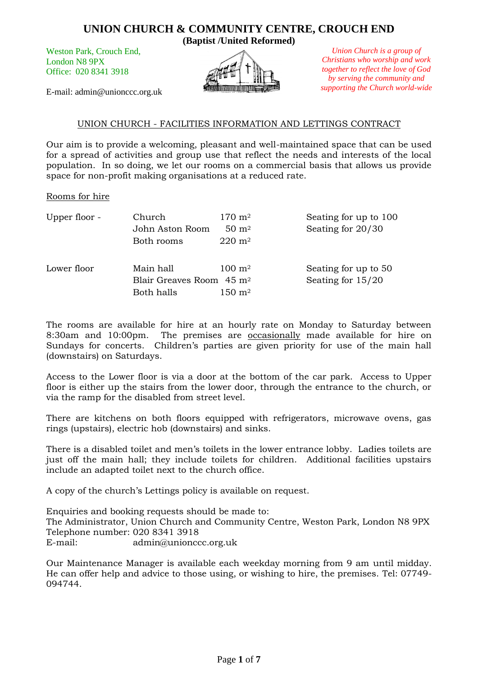Weston Park, Crouch End, London N8 9PX Office: 020 8341 3918

E-mail: admin@unionccc.org.uk



*Union Church is a group of Christians who worship and work together to reflect the love of God by serving the community and supporting the Church world-wide*

#### UNION CHURCH - FACILITIES INFORMATION AND LETTINGS CONTRACT

Our aim is to provide a welcoming, pleasant and well-maintained space that can be used for a spread of activities and group use that reflect the needs and interests of the local population. In so doing, we let our rooms on a commercial basis that allows us provide space for non-profit making organisations at a reduced rate.

#### Rooms for hire

| Upper floor - | Church                               | $170 \; \mathrm{m}^2$ | Seating for up to 100 |
|---------------|--------------------------------------|-----------------------|-----------------------|
|               | John Aston Room                      | $50 \; \mathrm{m}^2$  | Seating for 20/30     |
|               | Both rooms                           | $220 \; \mathrm{m}^2$ |                       |
| Lower floor   | Main hall                            | $100 \; \mathrm{m}^2$ | Seating for up to 50  |
|               | Blair Greaves Room 45 m <sup>2</sup> |                       | Seating for $15/20$   |
|               | Both halls                           | $150 \; \mathrm{m}^2$ |                       |

The rooms are available for hire at an hourly rate on Monday to Saturday between 8:30am and 10:00pm. The premises are occasionally made available for hire on Sundays for concerts. Children's parties are given priority for use of the main hall (downstairs) on Saturdays.

Access to the Lower floor is via a door at the bottom of the car park. Access to Upper floor is either up the stairs from the lower door, through the entrance to the church, or via the ramp for the disabled from street level.

There are kitchens on both floors equipped with refrigerators, microwave ovens, gas rings (upstairs), electric hob (downstairs) and sinks.

There is a disabled toilet and men's toilets in the lower entrance lobby. Ladies toilets are just off the main hall; they include toilets for children. Additional facilities upstairs include an adapted toilet next to the church office.

A copy of the church's Lettings policy is available on request.

Enquiries and booking requests should be made to: The Administrator, Union Church and Community Centre, Weston Park, London N8 9PX Telephone number: 020 8341 3918 E-mail: admin@unionccc.org.uk

Our Maintenance Manager is available each weekday morning from 9 am until midday. He can offer help and advice to those using, or wishing to hire, the premises. Tel: 07749- 094744.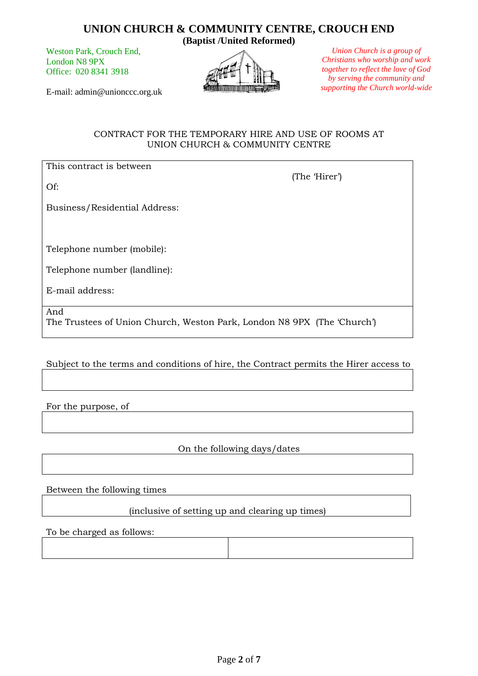# **UNION CHURCH & COMMUNITY CENTRE, CROUCH END**

Weston Park, Crouch End, London N8 9PX Office: 020 8341 3918

E-mail: admin@unionccc.org.uk

**(Baptist /United Reformed)**



*Union Church is a group of Christians who worship and work together to reflect the love of God by serving the community and supporting the Church world-wide*

(The 'Hirer')

CONTRACT FOR THE TEMPORARY HIRE AND USE OF ROOMS AT UNION CHURCH & COMMUNITY CENTRE

This contract is between

Of:

Business/Residential Address:

Telephone number (mobile):

Telephone number (landline):

E-mail address:

And

The Trustees of Union Church, Weston Park, London N8 9PX (The 'Church')

Subject to the terms and conditions of hire, the Contract permits the Hirer access to

For the purpose, of

On the following days/dates

Between the following times

(inclusive of setting up and clearing up times)

To be charged as follows: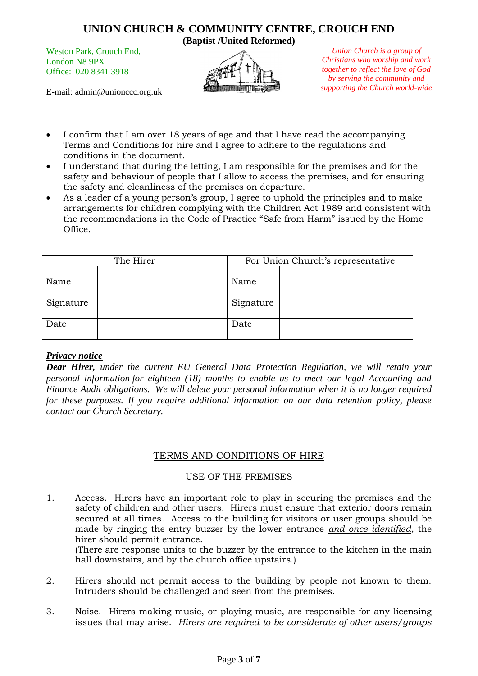# **UNION CHURCH & COMMUNITY CENTRE, CROUCH END**

Weston Park, Crouch End, London N8 9PX Office: 020 8341 3918

E-mail: admin@unionccc.org.uk



*Union Church is a group of Christians who worship and work together to reflect the love of God by serving the community and supporting the Church world-wide*

- I confirm that I am over 18 years of age and that I have read the accompanying Terms and Conditions for hire and I agree to adhere to the regulations and conditions in the document.
- I understand that during the letting, I am responsible for the premises and for the safety and behaviour of people that I allow to access the premises, and for ensuring the safety and cleanliness of the premises on departure.
- As a leader of a young person's group, I agree to uphold the principles and to make arrangements for children complying with the Children Act 1989 and consistent with the recommendations in the Code of Practice "Safe from Harm" issued by the Home Office.

| The Hirer |  | For Union Church's representative |  |
|-----------|--|-----------------------------------|--|
| Name      |  | Name                              |  |
| Signature |  | Signature                         |  |
| Date      |  | Date                              |  |

#### *Privacy notice*

*Dear Hirer, under the current EU General Data Protection Regulation, we will retain your personal information for eighteen (18) months to enable us to meet our legal Accounting and Finance Audit obligations. We will delete your personal information when it is no longer required for these purposes. If you require additional information on our data retention policy, please contact our Church Secretary.*

## TERMS AND CONDITIONS OF HIRE

#### USE OF THE PREMISES

1. Access. Hirers have an important role to play in securing the premises and the safety of children and other users. Hirers must ensure that exterior doors remain secured at all times. Access to the building for visitors or user groups should be made by ringing the entry buzzer by the lower entrance *and once identified*, the hirer should permit entrance.

(There are response units to the buzzer by the entrance to the kitchen in the main hall downstairs, and by the church office upstairs.)

- 2. Hirers should not permit access to the building by people not known to them. Intruders should be challenged and seen from the premises.
- 3. Noise. Hirers making music, or playing music, are responsible for any licensing issues that may arise. *Hirers are required to be considerate of other users/groups*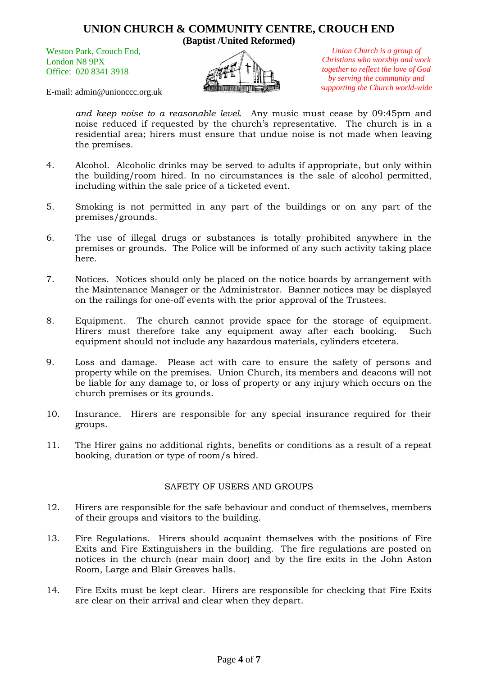Weston Park, Crouch End, London N8 9PX Office: 020 8341 3918



*Union Church is a group of Christians who worship and work together to reflect the love of God by serving the community and supporting the Church world-wide*

E-mail: admin@unionccc.org.uk

*and keep noise to a reasonable level.* Any music must cease by 09:45pm and noise reduced if requested by the church's representative. The church is in a residential area; hirers must ensure that undue noise is not made when leaving the premises.

- 4. Alcohol. Alcoholic drinks may be served to adults if appropriate, but only within the building/room hired. In no circumstances is the sale of alcohol permitted, including within the sale price of a ticketed event.
- 5. Smoking is not permitted in any part of the buildings or on any part of the premises/grounds.
- 6. The use of illegal drugs or substances is totally prohibited anywhere in the premises or grounds. The Police will be informed of any such activity taking place here.
- 7. Notices. Notices should only be placed on the notice boards by arrangement with the Maintenance Manager or the Administrator. Banner notices may be displayed on the railings for one-off events with the prior approval of the Trustees.
- 8. Equipment. The church cannot provide space for the storage of equipment. Hirers must therefore take any equipment away after each booking. Such equipment should not include any hazardous materials, cylinders etcetera.
- 9. Loss and damage. Please act with care to ensure the safety of persons and property while on the premises. Union Church, its members and deacons will not be liable for any damage to, or loss of property or any injury which occurs on the church premises or its grounds.
- 10. Insurance. Hirers are responsible for any special insurance required for their groups.
- 11. The Hirer gains no additional rights, benefits or conditions as a result of a repeat booking, duration or type of room/s hired.

#### SAFETY OF USERS AND GROUPS

- 12. Hirers are responsible for the safe behaviour and conduct of themselves, members of their groups and visitors to the building.
- 13. Fire Regulations. Hirers should acquaint themselves with the positions of Fire Exits and Fire Extinguishers in the building. The fire regulations are posted on notices in the church (near main door) and by the fire exits in the John Aston Room, Large and Blair Greaves halls.
- 14. Fire Exits must be kept clear. Hirers are responsible for checking that Fire Exits are clear on their arrival and clear when they depart.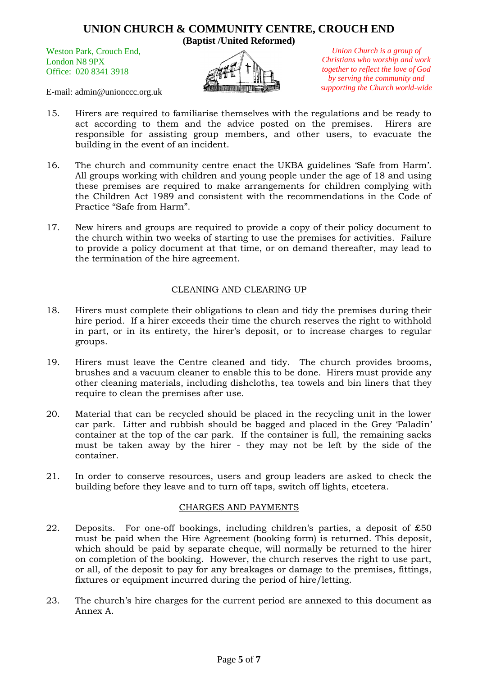Weston Park, Crouch End, London N8 9PX Office: 020 8341 3918



*Union Church is a group of Christians who worship and work together to reflect the love of God by serving the community and supporting the Church world-wide*

E-mail: admin@unionccc.org.uk

- 15. Hirers are required to familiarise themselves with the regulations and be ready to act according to them and the advice posted on the premises. Hirers are responsible for assisting group members, and other users, to evacuate the building in the event of an incident.
- 16. The church and community centre enact the UKBA guidelines 'Safe from Harm'. All groups working with children and young people under the age of 18 and using these premises are required to make arrangements for children complying with the Children Act 1989 and consistent with the recommendations in the Code of Practice "Safe from Harm".
- 17. New hirers and groups are required to provide a copy of their policy document to the church within two weeks of starting to use the premises for activities. Failure to provide a policy document at that time, or on demand thereafter, may lead to the termination of the hire agreement.

## CLEANING AND CLEARING UP

- 18. Hirers must complete their obligations to clean and tidy the premises during their hire period. If a hirer exceeds their time the church reserves the right to withhold in part, or in its entirety, the hirer's deposit, or to increase charges to regular groups.
- 19. Hirers must leave the Centre cleaned and tidy. The church provides brooms, brushes and a vacuum cleaner to enable this to be done. Hirers must provide any other cleaning materials, including dishcloths, tea towels and bin liners that they require to clean the premises after use.
- 20. Material that can be recycled should be placed in the recycling unit in the lower car park. Litter and rubbish should be bagged and placed in the Grey 'Paladin' container at the top of the car park. If the container is full, the remaining sacks must be taken away by the hirer - they may not be left by the side of the container.
- 21. In order to conserve resources, users and group leaders are asked to check the building before they leave and to turn off taps, switch off lights, etcetera.

#### CHARGES AND PAYMENTS

- 22. Deposits. For one-off bookings, including children's parties, a deposit of  $£50$ must be paid when the Hire Agreement (booking form) is returned. This deposit, which should be paid by separate cheque, will normally be returned to the hirer on completion of the booking. However, the church reserves the right to use part, or all, of the deposit to pay for any breakages or damage to the premises, fittings, fixtures or equipment incurred during the period of hire/letting.
- 23. The church's hire charges for the current period are annexed to this document as Annex A.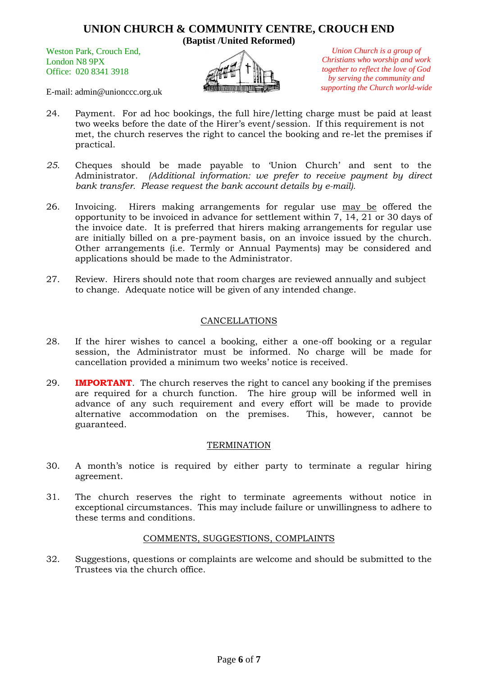Weston Park, Crouch End, London N8 9PX Office: 020 8341 3918

*Union Church is a group of Christians who worship and work together to reflect the love of God by serving the community and supporting the Church world-wide*

E-mail: admin@unionccc.org.uk

- 24. Payment. For ad hoc bookings, the full hire/letting charge must be paid at least two weeks before the date of the Hirer's event/session. If this requirement is not met, the church reserves the right to cancel the booking and re-let the premises if practical.
- *25.* Cheques should be made payable to 'Union Church' and sent to the Administrator. *(Additional information: we prefer to receive payment by direct bank transfer. Please request the bank account details by e-mail).*
- 26. Invoicing. Hirers making arrangements for regular use may be offered the opportunity to be invoiced in advance for settlement within 7, 14, 21 or 30 days of the invoice date. It is preferred that hirers making arrangements for regular use are initially billed on a pre-payment basis, on an invoice issued by the church. Other arrangements (i.e. Termly or Annual Payments) may be considered and applications should be made to the Administrator.
- 27. Review. Hirers should note that room charges are reviewed annually and subject to change. Adequate notice will be given of any intended change.

## CANCELLATIONS

- 28. If the hirer wishes to cancel a booking, either a one-off booking or a regular session, the Administrator must be informed. No charge will be made for cancellation provided a minimum two weeks' notice is received.
- 29. **IMPORTANT**. The church reserves the right to cancel any booking if the premises are required for a church function. The hire group will be informed well in advance of any such requirement and every effort will be made to provide alternative accommodation on the premises. This, however, cannot be guaranteed.

#### **TERMINATION**

- 30. A month's notice is required by either party to terminate a regular hiring agreement.
- 31. The church reserves the right to terminate agreements without notice in exceptional circumstances. This may include failure or unwillingness to adhere to these terms and conditions.

#### COMMENTS, SUGGESTIONS, COMPLAINTS

32. Suggestions, questions or complaints are welcome and should be submitted to the Trustees via the church office.